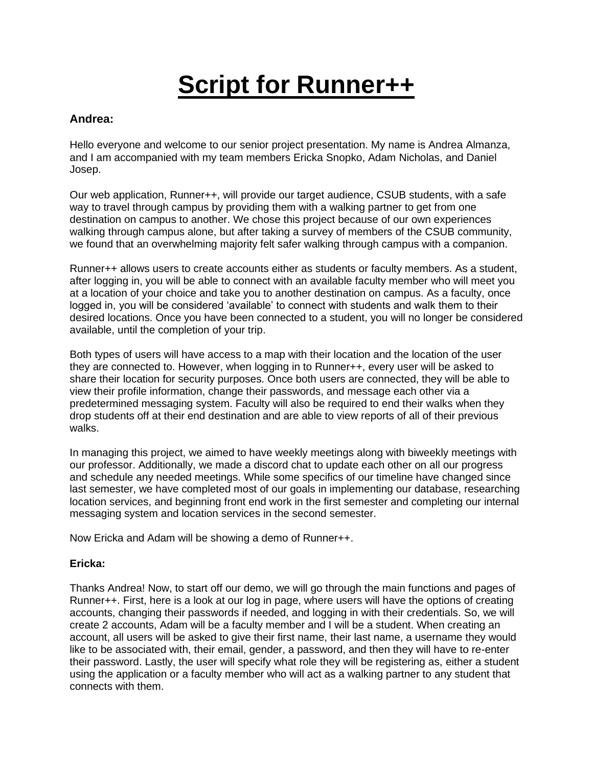# **Script for Runner++**

## **Andrea:**

Hello everyone and welcome to our senior project presentation. My name is Andrea Almanza, and I am accompanied with my team members Ericka Snopko, Adam Nicholas, and Daniel Josep.

Our web application, Runner++, will provide our target audience, CSUB students, with a safe way to travel through campus by providing them with a walking partner to get from one destination on campus to another. We chose this project because of our own experiences walking through campus alone, but after taking a survey of members of the CSUB community, we found that an overwhelming majority felt safer walking through campus with a companion.

Runner++ allows users to create accounts either as students or faculty members. As a student, after logging in, you will be able to connect with an available faculty member who will meet you at a location of your choice and take you to another destination on campus. As a faculty, once logged in, you will be considered 'available' to connect with students and walk them to their desired locations. Once you have been connected to a student, you will no longer be considered available, until the completion of your trip.

Both types of users will have access to a map with their location and the location of the user they are connected to. However, when logging in to Runner++, every user will be asked to share their location for security purposes. Once both users are connected, they will be able to view their profile information, change their passwords, and message each other via a predetermined messaging system. Faculty will also be required to end their walks when they drop students off at their end destination and are able to view reports of all of their previous walks.

In managing this project, we aimed to have weekly meetings along with biweekly meetings with our professor. Additionally, we made a discord chat to update each other on all our progress and schedule any needed meetings. While some specifics of our timeline have changed since last semester, we have completed most of our goals in implementing our database, researching location services, and beginning front end work in the first semester and completing our internal messaging system and location services in the second semester.

Now Ericka and Adam will be showing a demo of Runner++.

### **Ericka:**

Thanks Andrea! Now, to start off our demo, we will go through the main functions and pages of Runner++. First, here is a look at our log in page, where users will have the options of creating accounts, changing their passwords if needed, and logging in with their credentials. So, we will create 2 accounts, Adam will be a faculty member and I will be a student. When creating an account, all users will be asked to give their first name, their last name, a username they would like to be associated with, their email, gender, a password, and then they will have to re-enter their password. Lastly, the user will specify what role they will be registering as, either a student using the application or a faculty member who will act as a walking partner to any student that connects with them.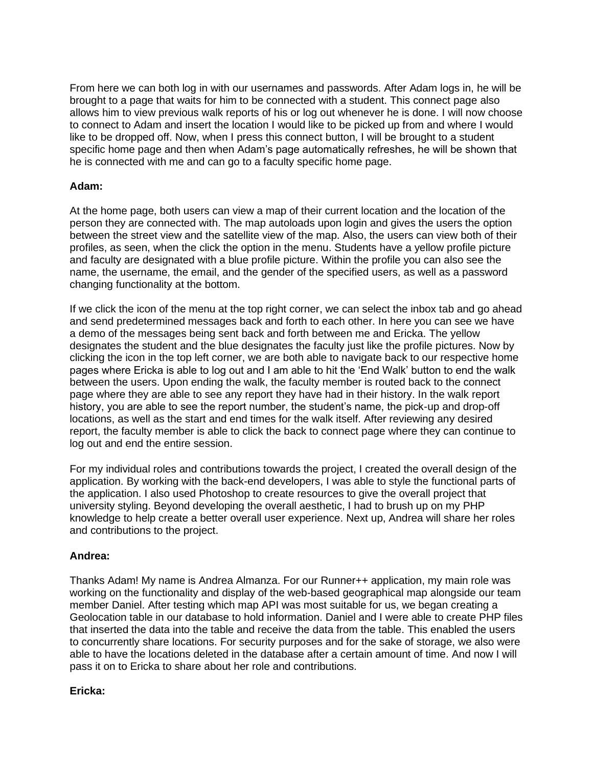From here we can both log in with our usernames and passwords. After Adam logs in, he will be brought to a page that waits for him to be connected with a student. This connect page also allows him to view previous walk reports of his or log out whenever he is done. I will now choose to connect to Adam and insert the location I would like to be picked up from and where I would like to be dropped off. Now, when I press this connect button, I will be brought to a student specific home page and then when Adam's page automatically refreshes, he will be shown that he is connected with me and can go to a faculty specific home page.

#### **Adam:**

At the home page, both users can view a map of their current location and the location of the person they are connected with. The map autoloads upon login and gives the users the option between the street view and the satellite view of the map. Also, the users can view both of their profiles, as seen, when the click the option in the menu. Students have a yellow profile picture and faculty are designated with a blue profile picture. Within the profile you can also see the name, the username, the email, and the gender of the specified users, as well as a password changing functionality at the bottom.

If we click the icon of the menu at the top right corner, we can select the inbox tab and go ahead and send predetermined messages back and forth to each other. In here you can see we have a demo of the messages being sent back and forth between me and Ericka. The yellow designates the student and the blue designates the faculty just like the profile pictures. Now by clicking the icon in the top left corner, we are both able to navigate back to our respective home pages where Ericka is able to log out and I am able to hit the 'End Walk' button to end the walk between the users. Upon ending the walk, the faculty member is routed back to the connect page where they are able to see any report they have had in their history. In the walk report history, you are able to see the report number, the student's name, the pick-up and drop-off locations, as well as the start and end times for the walk itself. After reviewing any desired report, the faculty member is able to click the back to connect page where they can continue to log out and end the entire session.

For my individual roles and contributions towards the project, I created the overall design of the application. By working with the back-end developers, I was able to style the functional parts of the application. I also used Photoshop to create resources to give the overall project that university styling. Beyond developing the overall aesthetic, I had to brush up on my PHP knowledge to help create a better overall user experience. Next up, Andrea will share her roles and contributions to the project.

#### **Andrea:**

Thanks Adam! My name is Andrea Almanza. For our Runner++ application, my main role was working on the functionality and display of the web-based geographical map alongside our team member Daniel. After testing which map API was most suitable for us, we began creating a Geolocation table in our database to hold information. Daniel and I were able to create PHP files that inserted the data into the table and receive the data from the table. This enabled the users to concurrently share locations. For security purposes and for the sake of storage, we also were able to have the locations deleted in the database after a certain amount of time. And now I will pass it on to Ericka to share about her role and contributions.

### **Ericka:**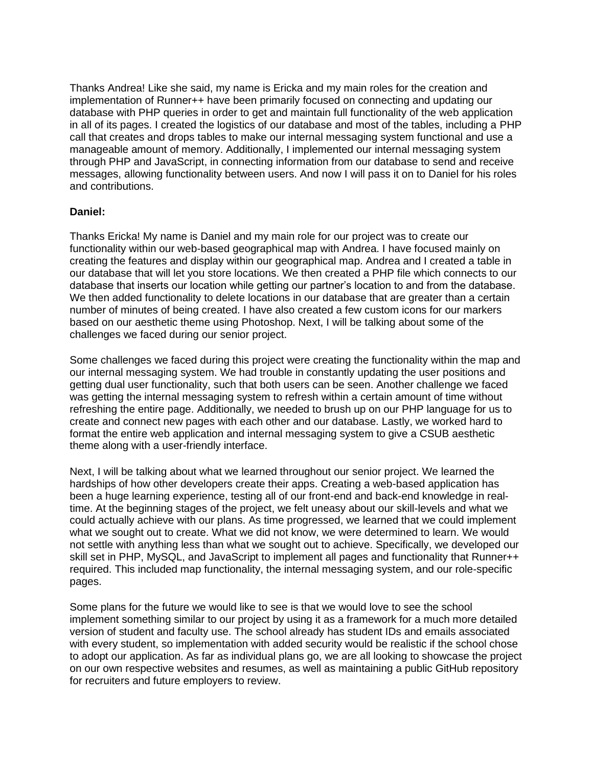Thanks Andrea! Like she said, my name is Ericka and my main roles for the creation and implementation of Runner++ have been primarily focused on connecting and updating our database with PHP queries in order to get and maintain full functionality of the web application in all of its pages. I created the logistics of our database and most of the tables, including a PHP call that creates and drops tables to make our internal messaging system functional and use a manageable amount of memory. Additionally, I implemented our internal messaging system through PHP and JavaScript, in connecting information from our database to send and receive messages, allowing functionality between users. And now I will pass it on to Daniel for his roles and contributions.

#### **Daniel:**

Thanks Ericka! My name is Daniel and my main role for our project was to create our functionality within our web-based geographical map with Andrea. I have focused mainly on creating the features and display within our geographical map. Andrea and I created a table in our database that will let you store locations. We then created a PHP file which connects to our database that inserts our location while getting our partner's location to and from the database. We then added functionality to delete locations in our database that are greater than a certain number of minutes of being created. I have also created a few custom icons for our markers based on our aesthetic theme using Photoshop. Next, I will be talking about some of the challenges we faced during our senior project.

Some challenges we faced during this project were creating the functionality within the map and our internal messaging system. We had trouble in constantly updating the user positions and getting dual user functionality, such that both users can be seen. Another challenge we faced was getting the internal messaging system to refresh within a certain amount of time without refreshing the entire page. Additionally, we needed to brush up on our PHP language for us to create and connect new pages with each other and our database. Lastly, we worked hard to format the entire web application and internal messaging system to give a CSUB aesthetic theme along with a user-friendly interface.

Next, I will be talking about what we learned throughout our senior project. We learned the hardships of how other developers create their apps. Creating a web-based application has been a huge learning experience, testing all of our front-end and back-end knowledge in realtime. At the beginning stages of the project, we felt uneasy about our skill-levels and what we could actually achieve with our plans. As time progressed, we learned that we could implement what we sought out to create. What we did not know, we were determined to learn. We would not settle with anything less than what we sought out to achieve. Specifically, we developed our skill set in PHP, MySQL, and JavaScript to implement all pages and functionality that Runner++ required. This included map functionality, the internal messaging system, and our role-specific pages.

Some plans for the future we would like to see is that we would love to see the school implement something similar to our project by using it as a framework for a much more detailed version of student and faculty use. The school already has student IDs and emails associated with every student, so implementation with added security would be realistic if the school chose to adopt our application. As far as individual plans go, we are all looking to showcase the project on our own respective websites and resumes, as well as maintaining a public GitHub repository for recruiters and future employers to review.